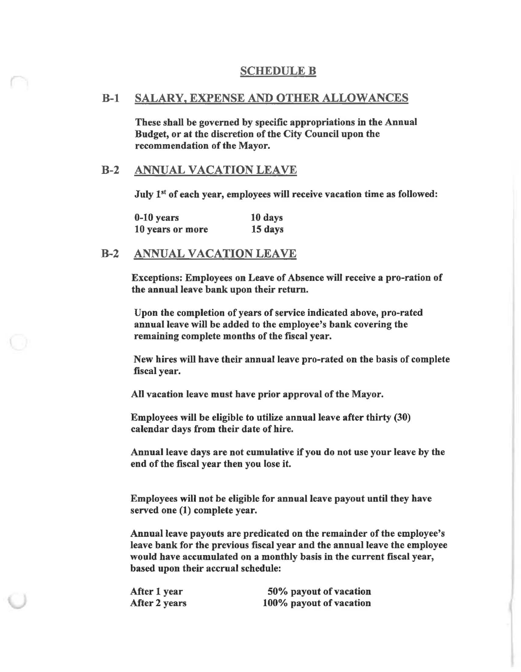### **SCHEDULE B**

#### B-1 SALARY, EXPENSE AND OTHER ALLOWANCES

These shall he governed by specific appropriations in the Annual Budget, or at the discretion of the City Council upon the recommendation of the Mayor.

### B-2 ANNUAL VACATION LEAVE

July 1<sup>st</sup> of each year, employees will receive vacation time as followed:

0-10 years 10 years or more 10 days 15 days

### B-2 ANNUAL VACATION LEAVE

Exceptions: Employees on Leave of Absence will receive a pro-ration of the annual leave bank upon their return.

Upon the completion of years of service indicated above, pro-rated annual leave will be added to the employee's bank covering the remaining complete months of the fiscal year.

New hires will have their annual leave pro-rated on the basis of complete fiscal year.

All vacation leave must have prior approval of the Mayor.

Employees will be eligible to utilize annual leave after thirty (30) calendar days from their date of hire.

Annual leave days are not cumulative if you do not use your leave by the end of the fiscal year then you lose it.

Employees will not be eligible for annual leave payout until they have served one (1) complete year.

Annual leave payouts are predicated on the remainder of the employee's leave bank for the previous fiscal year and the annual leave the employee would have accumulated on a monthly basis in the current fiscal year, based upon their accrual schedule:

After 1 year After 2 years

50% payout of vacation 100% payout of vacation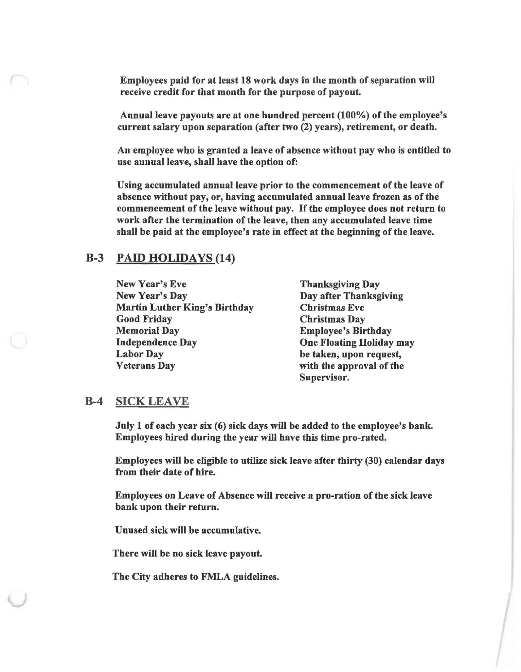Employees paid for at least 18 work days in the month of separation will receive credit for that month for the purpose of payout.

Annual leave payouts are at one hundred percent (100%) of the employee's current salary upon separation (after two (2) years), retirement, or death.

An employee who is granted a leave of absence without pay who is entitled to use annual leave, shall have the option of:

Using accumulated annual leave prior to the commencement of the leave of absence without pay, or, having accumulated annual leave frozen as of the commencement of the leave without pay. If the employee does not return to work after the termination of the leave, then any accumulated leave time shall be paid at the employee's rate in effect at the beginning of the leave.

### B-3 PAID HOLIDAYS (14)

New Year's Eve New Year's Day Martin Luther King's Birthday Good Friday Memorial Day Independence Day Labor Day Veterans Day

Thanksgiving Day Day after Thanksgiving Christmas Eve Christmas Day Employee's Birthday One Floating Holiday may be taken, upon request, with the approval of the Supervisor.

#### B-4 SICK LEAVE

July 1 of each year six (6) sick days will be added to the employee's bank. Employees hired during the year will have this time pro-rated.

Employees will be eligible to utilize sick leave after thirty (30) calendar days from their date of hire.

Employees on Leave of Absence will receive a pro-ration of the sick leave bank upon their return.

Unused sick will be accumulative.

There will be no sick leave payout.

The City adheres to FMLA guidelines.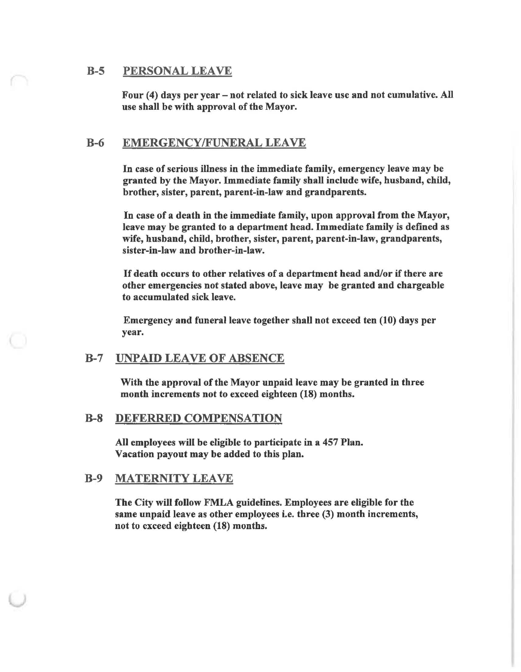#### B-5 PERSONAL LEAVE

Four (4) days per year – not related to sick leave use and not cumulative. All use shall be with approval of the Mayor.

#### B-6 EMERGENCYIFUNERAL LEAVE

In case of serious illness in the immediate family, emergency leave may be granted by the Mayor. Immediate family shall include wife, husband, child, brother, sister, parent, parent-in-law and grandparents.

In case of a death in the immediate family, upon approval from the Mayor, leave may be granted to a department head. Immediate family is defined as wife, husband, child, brother, sister, parent, parent-in-law, grandparents, sister-in-law and brother-in-law.

If death occurs to other relatives of a department head and/or if there are other emergencies not stated above, leave may be granted and chargeable to accumulated sick leave.

Emergency and funeral leave together shall not exceed ten (10) days per year.

### B-7 UNPAID LEAVE OF ABSENCE

With the approval of the Mayor unpaid leave may be granted in three month increments not to exceed eighteen (18) months.

### B-8 DEFERRED COMPENSATION

All employees will be eligible to participate in a 457 Plan. Vacation payout may be added to this plan.

#### B-9 MATERNITY LEAVE

The City will follow FMLA guidelines. Employees are eligible for the same unpaid leave as other employees i.e. three (3) month increments, not to exceed eighteen (18) months.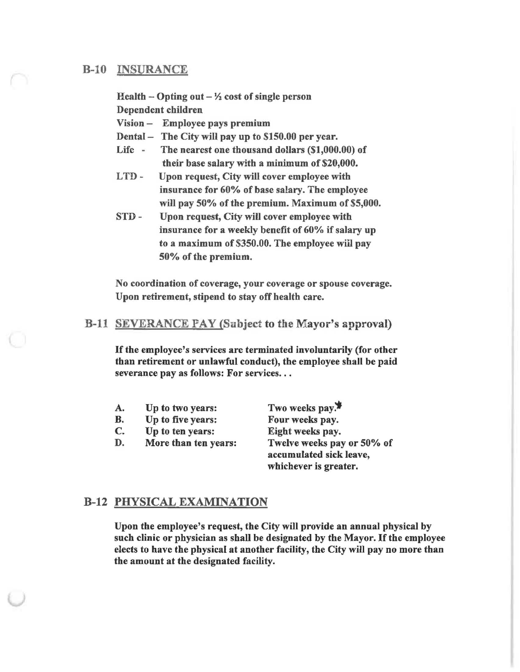### B-10 INSURANCE

Health  $-$  Opting out  $-$  <sup>1</sup>/<sub>2</sub> cost of single person Dependent children

Vision - Employee pays premium

Dental-The City will pay up to \$150.00 per year.

- Life -The nearest one thousand dollars (\$1,000.00) of their base salary with a minimum of \$20,000.
- LTD Upon request, City will cover employee with insurance for 60% of base salary. The employee will pay 50% of the premium. Maximum of \$5,000.
- STD Upon request, City will cover employee with insurance for a weekly benefit of 60% if salary up to a maximum of \$350.00. The employee will pay 50% of the premium.

No coordination of coverage, your coverage or spouse coverage. Upon retirement, stipend to stay off health care.

# B-ll SEVERANCE PAY (Subject to the Mayor's approval)

If the employee's services are terminated involuntarily (for other than retirement or unlawful conduct), the employee shall be paid severance pay as follows: For services...

| A.             | Up to two years:     | Two weeks pay.             |
|----------------|----------------------|----------------------------|
| В.             | Up to five years:    | Four weeks pay.            |
| $\mathbf{C}$ . | Up to ten years:     | Eight weeks pay.           |
| D.             | More than ten years: | Twelve weeks pay or 50% of |
|                |                      | accumulated sick leave,    |
|                |                      | whichever is greater.      |

### B-12 PHYSICAL EXAMINATION

Upon the employee's request, the City will provide an annual physical by such clinic or physician as shall be designated by the Mayor. If the employee elects to have the physical at another facility, the City will pay no more than the amount at the designated facility.